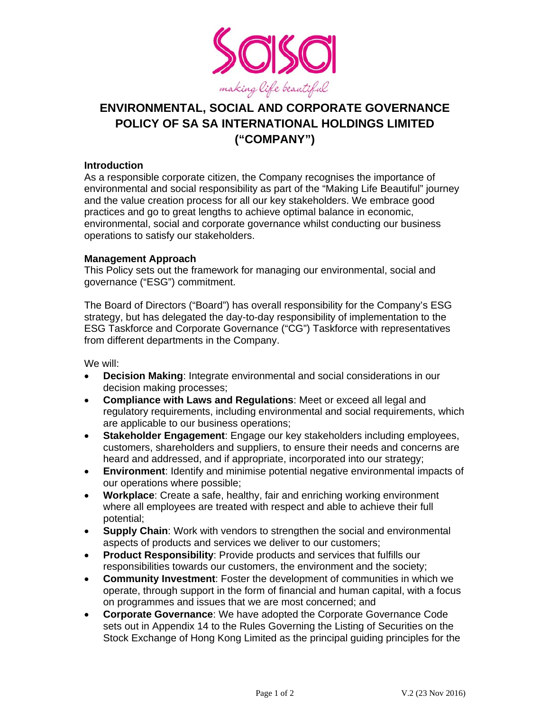

# **ENVIRONMENTAL, SOCIAL AND CORPORATE GOVERNANCE POLICY OF SA SA INTERNATIONAL HOLDINGS LIMITED ("COMPANY")**

#### **Introduction**

As a responsible corporate citizen, the Company recognises the importance of environmental and social responsibility as part of the "Making Life Beautiful" journey and the value creation process for all our key stakeholders. We embrace good practices and go to great lengths to achieve optimal balance in economic, environmental, social and corporate governance whilst conducting our business operations to satisfy our stakeholders.

### **Management Approach**

This Policy sets out the framework for managing our environmental, social and governance ("ESG") commitment.

The Board of Directors ("Board") has overall responsibility for the Company's ESG strategy, but has delegated the day-to-day responsibility of implementation to the ESG Taskforce and Corporate Governance ("CG") Taskforce with representatives from different departments in the Company.

We will:

- **Decision Making**: Integrate environmental and social considerations in our decision making processes;
- **Compliance with Laws and Regulations**: Meet or exceed all legal and regulatory requirements, including environmental and social requirements, which are applicable to our business operations;
- **Stakeholder Engagement**: Engage our key stakeholders including employees, customers, shareholders and suppliers, to ensure their needs and concerns are heard and addressed, and if appropriate, incorporated into our strategy;
- **Environment**: Identify and minimise potential negative environmental impacts of our operations where possible;
- **Workplace**: Create a safe, healthy, fair and enriching working environment where all employees are treated with respect and able to achieve their full potential;
- **Supply Chain**: Work with vendors to strengthen the social and environmental aspects of products and services we deliver to our customers;
- **Product Responsibility**: Provide products and services that fulfills our responsibilities towards our customers, the environment and the society;
- **Community Investment**: Foster the development of communities in which we operate, through support in the form of financial and human capital, with a focus on programmes and issues that we are most concerned; and
- **Corporate Governance**: We have adopted the Corporate Governance Code sets out in Appendix 14 to the Rules Governing the Listing of Securities on the Stock Exchange of Hong Kong Limited as the principal guiding principles for the